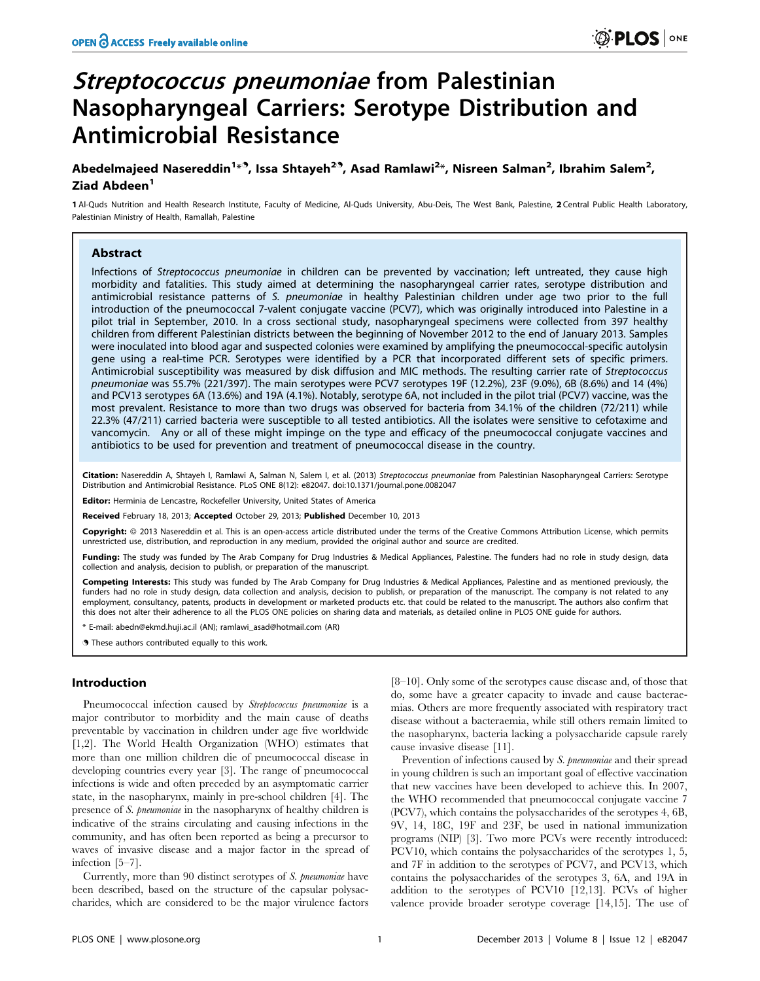# Streptococcus pneumoniae from Palestinian Nasopharyngeal Carriers: Serotype Distribution and Antimicrobial Resistance

# Abedelmajeed Nasereddin<sup>1 $\ast$ 9</sup>, Issa Shtayeh<sup>29</sup>, Asad Ramlawi<sup>2</sup>\*, Nisreen Salman<sup>2</sup>, Ibrahim Salem<sup>2</sup>, Ziad Abdeen<sup>1</sup>

1 Al-Quds Nutrition and Health Research Institute, Faculty of Medicine, Al-Quds University, Abu-Deis, The West Bank, Palestine, 2 Central Public Health Laboratory, Palestinian Ministry of Health, Ramallah, Palestine

# Abstract

Infections of Streptococcus pneumoniae in children can be prevented by vaccination; left untreated, they cause high morbidity and fatalities. This study aimed at determining the nasopharyngeal carrier rates, serotype distribution and antimicrobial resistance patterns of S. pneumoniae in healthy Palestinian children under age two prior to the full introduction of the pneumococcal 7-valent conjugate vaccine (PCV7), which was originally introduced into Palestine in a pilot trial in September, 2010. In a cross sectional study, nasopharyngeal specimens were collected from 397 healthy children from different Palestinian districts between the beginning of November 2012 to the end of January 2013. Samples were inoculated into blood agar and suspected colonies were examined by amplifying the pneumococcal-specific autolysin gene using a real-time PCR. Serotypes were identified by a PCR that incorporated different sets of specific primers. Antimicrobial susceptibility was measured by disk diffusion and MIC methods. The resulting carrier rate of Streptococcus pneumoniae was 55.7% (221/397). The main serotypes were PCV7 serotypes 19F (12.2%), 23F (9.0%), 6B (8.6%) and 14 (4%) and PCV13 serotypes 6A (13.6%) and 19A (4.1%). Notably, serotype 6A, not included in the pilot trial (PCV7) vaccine, was the most prevalent. Resistance to more than two drugs was observed for bacteria from 34.1% of the children (72/211) while 22.3% (47/211) carried bacteria were susceptible to all tested antibiotics. All the isolates were sensitive to cefotaxime and vancomycin. Any or all of these might impinge on the type and efficacy of the pneumococcal conjugate vaccines and antibiotics to be used for prevention and treatment of pneumococcal disease in the country.

Citation: Nasereddin A, Shtayeh I, Ramlawi A, Salman N, Salem I, et al. (2013) Streptococcus pneumoniae from Palestinian Nasopharyngeal Carriers: Serotype Distribution and Antimicrobial Resistance. PLoS ONE 8(12): e82047. doi:10.1371/journal.pone.0082047

Editor: Herminia de Lencastre, Rockefeller University, United States of America

Received February 18, 2013; Accepted October 29, 2013; Published December 10, 2013

**Copyright:** © 2013 Nasereddin et al. This is an open-access article distributed under the terms of the Creative Commons Attribution License, which permits unrestricted use, distribution, and reproduction in any medium, provided the original author and source are credited.

Funding: The study was funded by The Arab Company for Drug Industries & Medical Appliances, Palestine. The funders had no role in study design, data collection and analysis, decision to publish, or preparation of the manuscript.

Competing Interests: This study was funded by The Arab Company for Drug Industries & Medical Appliances, Palestine and as mentioned previously, the funders had no role in study design, data collection and analysis, decision to publish, or preparation of the manuscript. The company is not related to any employment, consultancy, patents, products in development or marketed products etc. that could be related to the manuscript. The authors also confirm that this does not alter their adherence to all the PLOS ONE policies on sharing data and materials, as detailed online in PLOS ONE guide for authors.

E-mail: abedn@ekmd.huji.ac.il (AN); ramlawi\_asad@hotmail.com (AR)

. These authors contributed equally to this work.

# Introduction

Pneumococcal infection caused by Streptococcus pneumoniae is a major contributor to morbidity and the main cause of deaths preventable by vaccination in children under age five worldwide [1,2]. The World Health Organization (WHO) estimates that more than one million children die of pneumococcal disease in developing countries every year [3]. The range of pneumococcal infections is wide and often preceded by an asymptomatic carrier state, in the nasopharynx, mainly in pre-school children [4]. The presence of S. pneumoniae in the nasopharynx of healthy children is indicative of the strains circulating and causing infections in the community, and has often been reported as being a precursor to waves of invasive disease and a major factor in the spread of infection [5–7].

Currently, more than 90 distinct serotypes of S. pneumoniae have been described, based on the structure of the capsular polysaccharides, which are considered to be the major virulence factors

[8–10]. Only some of the serotypes cause disease and, of those that do, some have a greater capacity to invade and cause bacteraemias. Others are more frequently associated with respiratory tract disease without a bacteraemia, while still others remain limited to the nasopharynx, bacteria lacking a polysaccharide capsule rarely cause invasive disease [11].

Prevention of infections caused by S. pneumoniae and their spread in young children is such an important goal of effective vaccination that new vaccines have been developed to achieve this. In 2007, the WHO recommended that pneumococcal conjugate vaccine 7 (PCV7), which contains the polysaccharides of the serotypes 4, 6B, 9V, 14, 18C, 19F and 23F, be used in national immunization programs (NIP) [3]. Two more PCVs were recently introduced: PCV10, which contains the polysaccharides of the serotypes 1, 5, and 7F in addition to the serotypes of PCV7, and PCV13, which contains the polysaccharides of the serotypes 3, 6A, and 19A in addition to the serotypes of PCV10 [12,13]. PCVs of higher valence provide broader serotype coverage [14,15]. The use of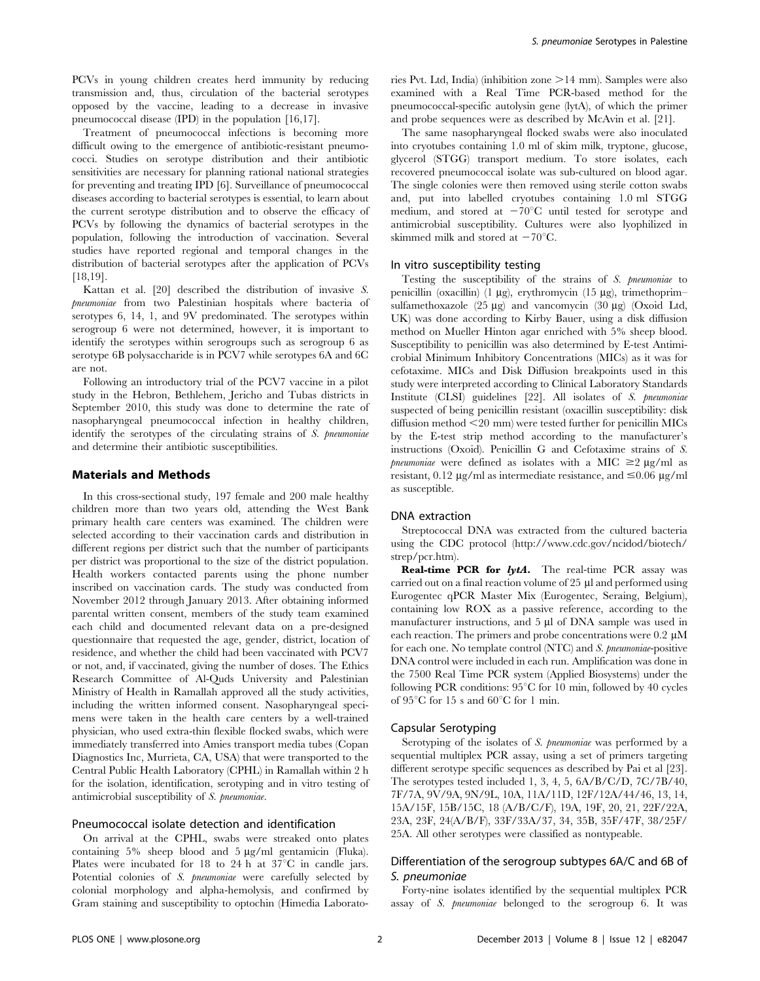PCVs in young children creates herd immunity by reducing transmission and, thus, circulation of the bacterial serotypes opposed by the vaccine, leading to a decrease in invasive pneumococcal disease (IPD) in the population [16,17].

Treatment of pneumococcal infections is becoming more difficult owing to the emergence of antibiotic-resistant pneumococci. Studies on serotype distribution and their antibiotic sensitivities are necessary for planning rational national strategies for preventing and treating IPD [6]. Surveillance of pneumococcal diseases according to bacterial serotypes is essential, to learn about the current serotype distribution and to observe the efficacy of PCVs by following the dynamics of bacterial serotypes in the population, following the introduction of vaccination. Several studies have reported regional and temporal changes in the distribution of bacterial serotypes after the application of PCVs [18,19].

Kattan et al. [20] described the distribution of invasive S. pneumoniae from two Palestinian hospitals where bacteria of serotypes 6, 14, 1, and 9V predominated. The serotypes within serogroup 6 were not determined, however, it is important to identify the serotypes within serogroups such as serogroup 6 as serotype 6B polysaccharide is in PCV7 while serotypes 6A and 6C are not.

Following an introductory trial of the PCV7 vaccine in a pilot study in the Hebron, Bethlehem, Jericho and Tubas districts in September 2010, this study was done to determine the rate of nasopharyngeal pneumococcal infection in healthy children, identify the serotypes of the circulating strains of S. pneumoniae and determine their antibiotic susceptibilities.

#### Materials and Methods

In this cross-sectional study, 197 female and 200 male healthy children more than two years old, attending the West Bank primary health care centers was examined. The children were selected according to their vaccination cards and distribution in different regions per district such that the number of participants per district was proportional to the size of the district population. Health workers contacted parents using the phone number inscribed on vaccination cards. The study was conducted from November 2012 through January 2013. After obtaining informed parental written consent, members of the study team examined each child and documented relevant data on a pre-designed questionnaire that requested the age, gender, district, location of residence, and whether the child had been vaccinated with PCV7 or not, and, if vaccinated, giving the number of doses. The Ethics Research Committee of Al-Quds University and Palestinian Ministry of Health in Ramallah approved all the study activities, including the written informed consent. Nasopharyngeal specimens were taken in the health care centers by a well-trained physician, who used extra-thin flexible flocked swabs, which were immediately transferred into Amies transport media tubes (Copan Diagnostics Inc, Murrieta, CA, USA) that were transported to the Central Public Health Laboratory (CPHL) in Ramallah within 2 h for the isolation, identification, serotyping and in vitro testing of antimicrobial susceptibility of S. pneumoniae.

# Pneumococcal isolate detection and identification

On arrival at the CPHL, swabs were streaked onto plates containing  $5\%$  sheep blood and  $5 \mu g/ml$  gentamicin (Fluka). Plates were incubated for 18 to 24 h at  $37^{\circ}$ C in candle jars. Potential colonies of S. pneumoniae were carefully selected by colonial morphology and alpha-hemolysis, and confirmed by Gram staining and susceptibility to optochin (Himedia Laboratories Pvt. Ltd, India) (inhibition zone  $>14$  mm). Samples were also examined with a Real Time PCR-based method for the pneumococcal-specific autolysin gene (lytA), of which the primer and probe sequences were as described by McAvin et al. [21].

The same nasopharyngeal flocked swabs were also inoculated into cryotubes containing 1.0 ml of skim milk, tryptone, glucose, glycerol (STGG) transport medium. To store isolates, each recovered pneumococcal isolate was sub-cultured on blood agar. The single colonies were then removed using sterile cotton swabs and, put into labelled cryotubes containing 1.0 ml STGG medium, and stored at  $-70^{\circ}$ C until tested for serotype and antimicrobial susceptibility. Cultures were also lyophilized in skimmed milk and stored at  $-70^{\circ}$ C.

#### In vitro susceptibility testing

Testing the susceptibility of the strains of S. pneumoniae to penicillin (oxacillin) (1  $\mu$ g), erythromycin (15  $\mu$ g), trimethoprim– sulfamethoxazole  $(25 \mu g)$  and vancomycin  $(30 \mu g)$  (Oxoid Ltd, UK) was done according to Kirby Bauer, using a disk diffusion method on Mueller Hinton agar enriched with 5% sheep blood. Susceptibility to penicillin was also determined by E-test Antimicrobial Minimum Inhibitory Concentrations (MICs) as it was for cefotaxime. MICs and Disk Diffusion breakpoints used in this study were interpreted according to Clinical Laboratory Standards Institute (CLSI) guidelines [22]. All isolates of S. pneumoniae suspected of being penicillin resistant (oxacillin susceptibility: disk diffusion method <20 mm) were tested further for penicillin MICs by the E-test strip method according to the manufacturer's instructions (Oxoid). Penicillin G and Cefotaxime strains of S. pneumoniae were defined as isolates with a MIC  $\geq 2 \mu g/ml$  as resistant, 0.12  $\mu$ g/ml as intermediate resistance, and  $\leq$ 0.06  $\mu$ g/ml as susceptible.

#### DNA extraction

Streptococcal DNA was extracted from the cultured bacteria using the CDC protocol (http://www.cdc.gov/ncidod/biotech/ strep/pcr.htm).

**Real-time PCR for**  $lytA$ **.** The real-time PCR assay was carried out on a final reaction volume of  $25 \mu$ l and performed using Eurogentec qPCR Master Mix (Eurogentec, Seraing, Belgium), containing low ROX as a passive reference, according to the manufacturer instructions, and 5 µl of DNA sample was used in each reaction. The primers and probe concentrations were  $0.2 \mu M$ for each one. No template control (NTC) and S. pneumoniae-positive DNA control were included in each run. Amplification was done in the 7500 Real Time PCR system (Applied Biosystems) under the following PCR conditions:  $95^{\circ}$ C for 10 min, followed by 40 cycles of 95 $\mathrm{^{\circ}C}$  for 15 s and 60 $\mathrm{^{\circ}C}$  for 1 min.

#### Capsular Serotyping

Serotyping of the isolates of S. pneumoniae was performed by a sequential multiplex PCR assay, using a set of primers targeting different serotype specific sequences as described by Pai et al [23]. The serotypes tested included 1, 3, 4, 5, 6A/B/C/D, 7C/7B/40, 7F/7A, 9V/9A, 9N/9L, 10A, 11A/11D, 12F/12A/44/46, 13, 14, 15A/15F, 15B/15C, 18 (A/B/C/F), 19A, 19F, 20, 21, 22F/22A, 23A, 23F, 24(A/B/F), 33F/33A/37, 34, 35B, 35F/47F, 38/25F/ 25A. All other serotypes were classified as nontypeable.

# Differentiation of the serogroup subtypes 6A/C and 6B of S. pneumoniae

Forty-nine isolates identified by the sequential multiplex PCR assay of S. pneumoniae belonged to the serogroup 6. It was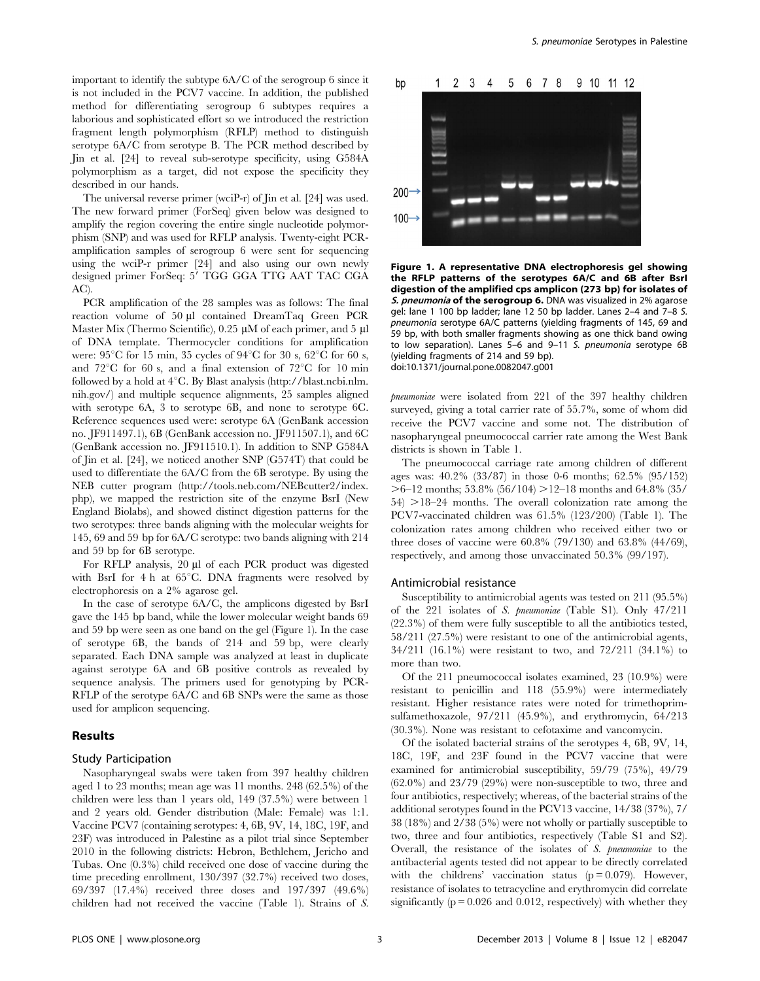important to identify the subtype 6A/C of the serogroup 6 since it is not included in the PCV7 vaccine. In addition, the published method for differentiating serogroup 6 subtypes requires a laborious and sophisticated effort so we introduced the restriction fragment length polymorphism (RFLP) method to distinguish serotype 6A/C from serotype B. The PCR method described by Jin et al. [24] to reveal sub-serotype specificity, using G584A polymorphism as a target, did not expose the specificity they described in our hands.

The universal reverse primer (wciP-r) of Jin et al. [24] was used. The new forward primer (ForSeq) given below was designed to amplify the region covering the entire single nucleotide polymorphism (SNP) and was used for RFLP analysis. Twenty-eight PCRamplification samples of serogroup 6 were sent for sequencing using the wciP-r primer [24] and also using our own newly designed primer ForSeq: 5' TGG GGA TTG AAT TAC CGA AC).

PCR amplification of the 28 samples was as follows: The final reaction volume of 50 µl contained DreamTaq Green PCR Master Mix (Thermo Scientific),  $0.25 \mu M$  of each primer, and  $5 \mu I$ of DNA template. Thermocycler conditions for amplification were:  $95^{\circ}$ C for 15 min, 35 cycles of  $94^{\circ}$ C for 30 s,  $62^{\circ}$ C for 60 s, and  $72^{\circ}$ C for 60 s, and a final extension of  $72^{\circ}$ C for 10 min followed by a hold at  $4^{\circ}$ C. By Blast analysis (http://blast.ncbi.nlm. nih.gov/) and multiple sequence alignments, 25 samples aligned with serotype 6A, 3 to serotype 6B, and none to serotype 6C. Reference sequences used were: serotype 6A (GenBank accession no. JF911497.1), 6B (GenBank accession no. JF911507.1), and 6C (GenBank accession no. JF911510.1). In addition to SNP G584A of Jin et al. [24], we noticed another SNP (G574T) that could be used to differentiate the 6A/C from the 6B serotype. By using the NEB cutter program (http://tools.neb.com/NEBcutter2/index. php), we mapped the restriction site of the enzyme BsrI (New England Biolabs), and showed distinct digestion patterns for the two serotypes: three bands aligning with the molecular weights for 145, 69 and 59 bp for 6A/C serotype: two bands aligning with 214 and 59 bp for 6B serotype.

For RFLP analysis, 20 µl of each PCR product was digested with BsrI for 4 h at  $65^{\circ}$ C. DNA fragments were resolved by electrophoresis on a 2% agarose gel.

In the case of serotype 6A/C, the amplicons digested by BsrI gave the 145 bp band, while the lower molecular weight bands 69 and 59 bp were seen as one band on the gel (Figure 1). In the case of serotype 6B, the bands of 214 and 59 bp, were clearly separated. Each DNA sample was analyzed at least in duplicate against serotype 6A and 6B positive controls as revealed by sequence analysis. The primers used for genotyping by PCR-RFLP of the serotype 6A/C and 6B SNPs were the same as those used for amplicon sequencing.

#### Results

#### Study Participation

Nasopharyngeal swabs were taken from 397 healthy children aged 1 to 23 months; mean age was 11 months. 248 (62.5%) of the children were less than 1 years old, 149 (37.5%) were between 1 and 2 years old. Gender distribution (Male: Female) was 1:1. Vaccine PCV7 (containing serotypes: 4, 6B, 9V, 14, 18C, 19F, and 23F) was introduced in Palestine as a pilot trial since September 2010 in the following districts: Hebron, Bethlehem, Jericho and Tubas. One (0.3%) child received one dose of vaccine during the time preceding enrollment, 130/397 (32.7%) received two doses, 69/397 (17.4%) received three doses and 197/397 (49.6%) children had not received the vaccine (Table 1). Strains of S.



Figure 1. A representative DNA electrophoresis gel showing the RFLP patterns of the serotypes 6A/C and 6B after BsrI digestion of the amplified cps amplicon (273 bp) for isolates of S. pneumonia of the serogroup 6. DNA was visualized in 2% agarose gel: lane 1 100 bp ladder; lane 12 50 bp ladder. Lanes 2–4 and 7–8 S. pneumonia serotype 6A/C patterns (yielding fragments of 145, 69 and 59 bp, with both smaller fragments showing as one thick band owing to low separation). Lanes 5–6 and 9–11 S. pneumonia serotype 6B (yielding fragments of 214 and 59 bp). doi:10.1371/journal.pone.0082047.g001

pneumoniae were isolated from 221 of the 397 healthy children surveyed, giving a total carrier rate of 55.7%, some of whom did receive the PCV7 vaccine and some not. The distribution of nasopharyngeal pneumococcal carrier rate among the West Bank districts is shown in Table 1.

The pneumococcal carriage rate among children of different ages was: 40.2% (33/87) in those 0-6 months; 62.5% (95/152)  $>6$ –12 months; 53.8% (56/104)  $>12$ –18 months and 64.8% (35/  $54$ )  $>18-24$  months. The overall colonization rate among the PCV7-vaccinated children was 61.5% (123/200) (Table 1). The colonization rates among children who received either two or three doses of vaccine were 60.8% (79/130) and 63.8% (44/69), respectively, and among those unvaccinated 50.3% (99/197).

#### Antimicrobial resistance

Susceptibility to antimicrobial agents was tested on 211 (95.5%) of the 221 isolates of S. pneumoniae (Table S1). Only 47/211 (22.3%) of them were fully susceptible to all the antibiotics tested, 58/211 (27.5%) were resistant to one of the antimicrobial agents, 34/211 (16.1%) were resistant to two, and 72/211 (34.1%) to more than two.

Of the 211 pneumococcal isolates examined, 23 (10.9%) were resistant to penicillin and 118 (55.9%) were intermediately resistant. Higher resistance rates were noted for trimethoprimsulfamethoxazole, 97/211 (45.9%), and erythromycin, 64/213 (30.3%). None was resistant to cefotaxime and vancomycin.

Of the isolated bacterial strains of the serotypes 4, 6B, 9V, 14, 18C, 19F, and 23F found in the PCV7 vaccine that were examined for antimicrobial susceptibility, 59/79 (75%), 49/79 (62.0%) and 23/79 (29%) were non-susceptible to two, three and four antibiotics, respectively; whereas, of the bacterial strains of the additional serotypes found in the PCV13 vaccine, 14/38 (37%), 7/ 38 (18%) and 2/38 (5%) were not wholly or partially susceptible to two, three and four antibiotics, respectively (Table S1 and S2). Overall, the resistance of the isolates of S. pneumoniae to the antibacterial agents tested did not appear to be directly correlated with the childrens' vaccination status  $(p=0.079)$ . However, resistance of isolates to tetracycline and erythromycin did correlate significantly  $(p = 0.026$  and 0.012, respectively) with whether they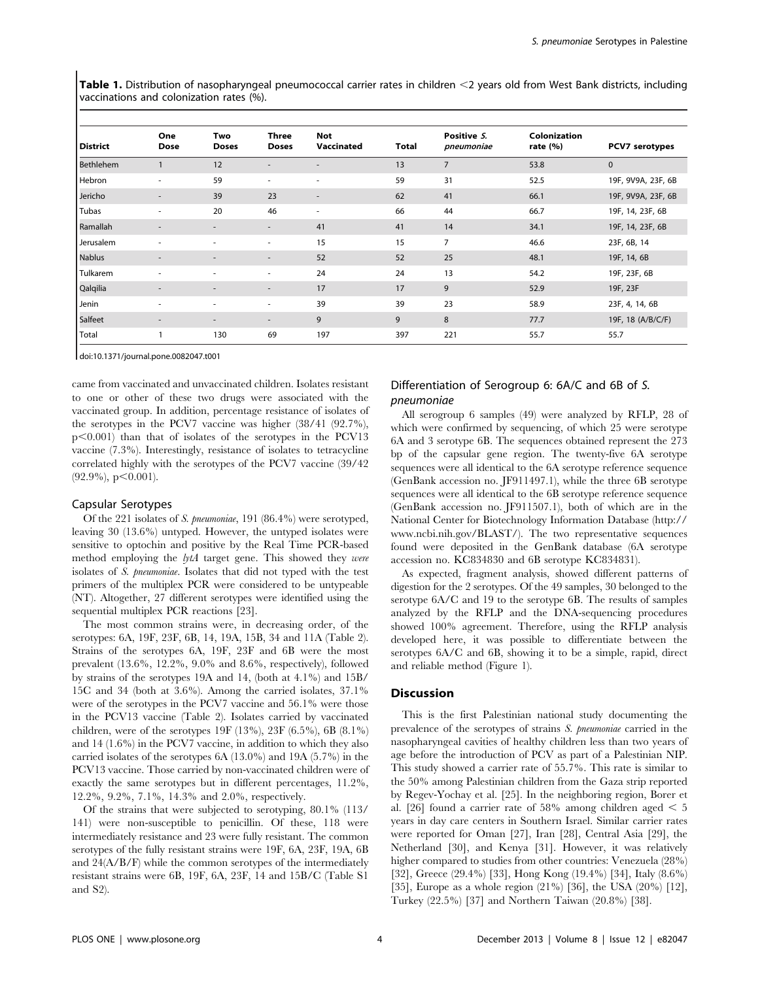Table 1. Distribution of nasopharyngeal pneumococcal carrier rates in children  $\leq$  years old from West Bank districts, including vaccinations and colonization rates (%).

| <b>District</b>  | One<br>Dose              | Two<br><b>Doses</b>      | Three<br><b>Doses</b>    | <b>Not</b><br>Vaccinated | Total | Positive S.<br>pneumoniae | Colonization<br>rate $(\% )$ | PCV7 serotypes     |
|------------------|--------------------------|--------------------------|--------------------------|--------------------------|-------|---------------------------|------------------------------|--------------------|
| <b>Bethlehem</b> | $\mathbf{1}$             | 12                       | $\overline{\phantom{a}}$ | $\overline{\phantom{a}}$ | 13    | $\overline{7}$            | 53.8                         | $\mathbf{0}$       |
| Hebron           | $\overline{\phantom{a}}$ | 59                       | ÷                        | $\overline{\phantom{a}}$ | 59    | 31                        | 52.5                         | 19F, 9V9A, 23F, 6B |
| Jericho          | ٠                        | 39                       | 23                       | $\overline{\phantom{a}}$ | 62    | 41                        | 66.1                         | 19F, 9V9A, 23F, 6B |
| Tubas            | ٠                        | 20                       | 46                       | $\overline{\phantom{a}}$ | 66    | 44                        | 66.7                         | 19F, 14, 23F, 6B   |
| Ramallah         | $\overline{\phantom{a}}$ | $\overline{\phantom{a}}$ | $\overline{\phantom{a}}$ | 41                       | 41    | 14                        | 34.1                         | 19F, 14, 23F, 6B   |
| Jerusalem        | $\overline{\phantom{a}}$ | ۰                        | ٠                        | 15                       | 15    | $\overline{7}$            | 46.6                         | 23F, 6B, 14        |
| <b>Nablus</b>    | $\overline{\phantom{a}}$ | ۰                        | $\overline{\phantom{a}}$ | 52                       | 52    | 25                        | 48.1                         | 19F, 14, 6B        |
| Tulkarem         | $\overline{\phantom{a}}$ | ٠                        | ٠                        | 24                       | 24    | 13                        | 54.2                         | 19F, 23F, 6B       |
| Qalqilia         | $\overline{\phantom{a}}$ | $\overline{\phantom{a}}$ | $\overline{\phantom{a}}$ | 17                       | 17    | 9                         | 52.9                         | 19F, 23F           |
| Jenin            | ٠                        | $\overline{\phantom{a}}$ | $\overline{\phantom{a}}$ | 39                       | 39    | 23                        | 58.9                         | 23F, 4, 14, 6B     |
| Salfeet          | $\overline{\phantom{a}}$ | $\overline{\phantom{0}}$ | $\overline{\phantom{a}}$ | 9                        | 9     | 8                         | 77.7                         | 19F, 18 (A/B/C/F)  |
| Total            |                          | 130                      | 69                       | 197                      | 397   | 221                       | 55.7                         | 55.7               |

doi:10.1371/journal.pone.0082047.t001

came from vaccinated and unvaccinated children. Isolates resistant to one or other of these two drugs were associated with the vaccinated group. In addition, percentage resistance of isolates of the serotypes in the PCV7 vaccine was higher (38/41 (92.7%),  $p<0.001$ ) than that of isolates of the serotypes in the PCV13 vaccine (7.3%). Interestingly, resistance of isolates to tetracycline correlated highly with the serotypes of the PCV7 vaccine (39/42  $(92.9\%)$ , p $<0.001$ ).

# Capsular Serotypes

Of the 221 isolates of S. pneumoniae, 191 (86.4%) were serotyped, leaving 30 (13.6%) untyped. However, the untyped isolates were sensitive to optochin and positive by the Real Time PCR-based method employing the lytA target gene. This showed they were isolates of S. pneumoniae. Isolates that did not typed with the test primers of the multiplex PCR were considered to be untypeable (NT). Altogether, 27 different serotypes were identified using the sequential multiplex PCR reactions [23].

The most common strains were, in decreasing order, of the serotypes: 6A, 19F, 23F, 6B, 14, 19A, 15B, 34 and 11A (Table 2). Strains of the serotypes 6A, 19F, 23F and 6B were the most prevalent (13.6%, 12.2%, 9.0% and 8.6%, respectively), followed by strains of the serotypes 19A and 14, (both at 4.1%) and 15B/ 15C and 34 (both at 3.6%). Among the carried isolates, 37.1% were of the serotypes in the PCV7 vaccine and 56.1% were those in the PCV13 vaccine (Table 2). Isolates carried by vaccinated children, were of the serotypes 19F (13%), 23F (6.5%), 6B (8.1%) and 14 (1.6%) in the PCV7 vaccine, in addition to which they also carried isolates of the serotypes 6A (13.0%) and 19A (5.7%) in the PCV13 vaccine. Those carried by non-vaccinated children were of exactly the same serotypes but in different percentages, 11.2%, 12.2%, 9.2%, 7.1%, 14.3% and 2.0%, respectively.

Of the strains that were subjected to serotyping, 80.1% (113/ 141) were non-susceptible to penicillin. Of these, 118 were intermediately resistance and 23 were fully resistant. The common serotypes of the fully resistant strains were 19F, 6A, 23F, 19A, 6B and 24(A/B/F) while the common serotypes of the intermediately resistant strains were 6B, 19F, 6A, 23F, 14 and 15B/C (Table S1 and S2).

# Differentiation of Serogroup 6: 6A/C and 6B of S. pneumoniae

All serogroup 6 samples (49) were analyzed by RFLP, 28 of which were confirmed by sequencing, of which 25 were serotype 6A and 3 serotype 6B. The sequences obtained represent the 273 bp of the capsular gene region. The twenty-five 6A serotype sequences were all identical to the 6A serotype reference sequence (GenBank accession no. JF911497.1), while the three 6B serotype sequences were all identical to the 6B serotype reference sequence (GenBank accession no. JF911507.1), both of which are in the National Center for Biotechnology Information Database (http:// www.ncbi.nih.gov/BLAST/). The two representative sequences found were deposited in the GenBank database (6A serotype accession no. KC834830 and 6B serotype KC834831).

As expected, fragment analysis, showed different patterns of digestion for the 2 serotypes. Of the 49 samples, 30 belonged to the serotype 6A/C and 19 to the serotype 6B. The results of samples analyzed by the RFLP and the DNA-sequencing procedures showed 100% agreement. Therefore, using the RFLP analysis developed here, it was possible to differentiate between the serotypes 6A/C and 6B, showing it to be a simple, rapid, direct and reliable method (Figure 1).

### Discussion

This is the first Palestinian national study documenting the prevalence of the serotypes of strains S. pneumoniae carried in the nasopharyngeal cavities of healthy children less than two years of age before the introduction of PCV as part of a Palestinian NIP. This study showed a carrier rate of 55.7%. This rate is similar to the 50% among Palestinian children from the Gaza strip reported by Regev-Yochay et al. [25]. In the neighboring region, Borer et al. [26] found a carrier rate of 58% among children aged  $\leq 5$ years in day care centers in Southern Israel. Similar carrier rates were reported for Oman [27], Iran [28], Central Asia [29], the Netherland [30], and Kenya [31]. However, it was relatively higher compared to studies from other countries: Venezuela (28%) [32], Greece (29.4%) [33], Hong Kong (19.4%) [34], Italy (8.6%) [35], Europe as a whole region (21%) [36], the USA (20%) [12], Turkey (22.5%) [37] and Northern Taiwan (20.8%) [38].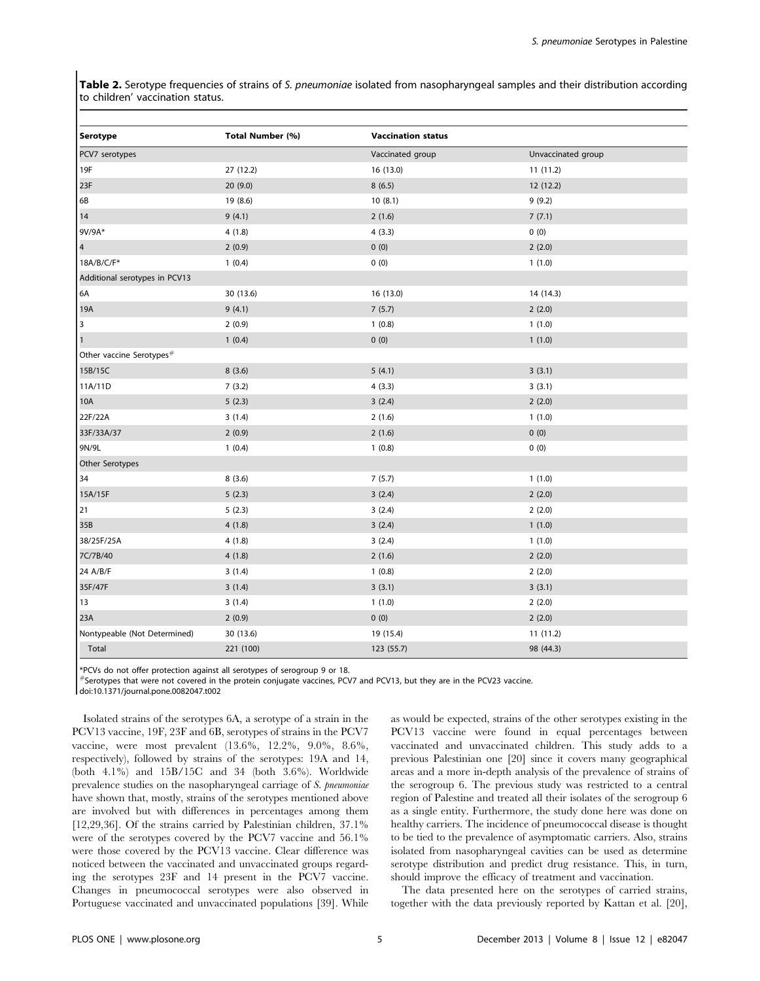Table 2. Serotype frequencies of strains of S. pneumoniae isolated from nasopharyngeal samples and their distribution according to children' vaccination status.

| Serotype                             | Total Number (%) | <b>Vaccination status</b> |                    |  |  |  |  |
|--------------------------------------|------------------|---------------------------|--------------------|--|--|--|--|
| PCV7 serotypes                       |                  | Vaccinated group          | Unvaccinated group |  |  |  |  |
| 19F                                  | 27 (12.2)        | 16 (13.0)                 | 11(11.2)           |  |  |  |  |
| 23F                                  | 20(9.0)          | 8(6.5)                    | 12(12.2)           |  |  |  |  |
| 6B                                   | 19 (8.6)         | 10(8.1)                   | 9(9.2)             |  |  |  |  |
| 14                                   | 9(4.1)           | 2(1.6)                    | 7(7.1)             |  |  |  |  |
| 9V/9A*                               | 4(1.8)           | 4(3.3)                    | 0(0)               |  |  |  |  |
| $\overline{4}$                       | 2(0.9)           | 0(0)                      | 2(2.0)             |  |  |  |  |
| 18A/B/C/F*                           | 1(0.4)           | 0(0)                      | 1(1.0)             |  |  |  |  |
| Additional serotypes in PCV13        |                  |                           |                    |  |  |  |  |
| 6A                                   | 30 (13.6)        | 16 (13.0)                 | 14 (14.3)          |  |  |  |  |
| 19A                                  | 9(4.1)           | 7(5.7)                    | 2(2.0)             |  |  |  |  |
| 3                                    | 2(0.9)           | 1(0.8)                    | 1(1.0)             |  |  |  |  |
| $\mathbf{1}$                         | 1(0.4)           | 0(0)                      | 1(1.0)             |  |  |  |  |
| Other vaccine Serotypes <sup>#</sup> |                  |                           |                    |  |  |  |  |
| 15B/15C                              | 8(3.6)           | 5(4.1)                    | 3(3.1)             |  |  |  |  |
| 11A/11D                              | 7(3.2)           | 4(3.3)                    | 3(3.1)             |  |  |  |  |
| 10A                                  | 5(2.3)           | 3(2.4)                    | 2(2.0)             |  |  |  |  |
| 22F/22A                              | 3(1.4)           | 2(1.6)                    | 1(1.0)             |  |  |  |  |
| 33F/33A/37                           | 2(0.9)           | 2(1.6)                    | 0(0)               |  |  |  |  |
| 9N/9L                                | 1(0.4)           | 1(0.8)                    | 0(0)               |  |  |  |  |
| Other Serotypes                      |                  |                           |                    |  |  |  |  |
| 34                                   | 8(3.6)           | 7(5.7)                    | 1(1.0)             |  |  |  |  |
| 15A/15F                              | 5(2.3)           | 3(2.4)                    | 2(2.0)             |  |  |  |  |
| 21                                   | 5(2.3)           | 3(2.4)                    | 2(2.0)             |  |  |  |  |
| 35B                                  | 4(1.8)           | 3(2.4)                    | 1(1.0)             |  |  |  |  |
| 38/25F/25A                           | 4(1.8)           | 3(2.4)                    | 1(1.0)             |  |  |  |  |
| 7C/7B/40                             | 4(1.8)           | 2(1.6)                    | 2(2.0)             |  |  |  |  |
| 24 A/B/F                             | 3(1.4)           | 1(0.8)                    | 2(2.0)             |  |  |  |  |
| 35F/47F                              | 3(1.4)           | 3(3.1)                    | 3(3.1)             |  |  |  |  |
| 13                                   | 3(1.4)           | 1(1.0)                    | 2(2.0)             |  |  |  |  |
| 23A                                  | 2(0.9)           | 0(0)                      | 2(2.0)             |  |  |  |  |
| Nontypeable (Not Determined)         | 30 (13.6)        | 19 (15.4)                 | 11 (11.2)          |  |  |  |  |
| Total                                | 221 (100)        | 123 (55.7)                | 98 (44.3)          |  |  |  |  |

\*PCVs do not offer protection against all serotypes of serogroup 9 or 18.

 $*$  Serotypes that were not covered in the protein conjugate vaccines, PCV7 and PCV13, but they are in the PCV23 vaccine.

doi:10.1371/journal.pone.0082047.t002

Isolated strains of the serotypes 6A, a serotype of a strain in the PCV13 vaccine, 19F, 23F and 6B, serotypes of strains in the PCV7 vaccine, were most prevalent (13.6%, 12.2%, 9.0%, 8.6%, respectively), followed by strains of the serotypes: 19A and 14, (both 4.1%) and 15B/15C and 34 (both 3.6%). Worldwide prevalence studies on the nasopharyngeal carriage of S. pneumoniae have shown that, mostly, strains of the serotypes mentioned above are involved but with differences in percentages among them [12,29,36]. Of the strains carried by Palestinian children, 37.1% were of the serotypes covered by the PCV7 vaccine and 56.1% were those covered by the PCV13 vaccine. Clear difference was noticed between the vaccinated and unvaccinated groups regarding the serotypes 23F and 14 present in the PCV7 vaccine. Changes in pneumococcal serotypes were also observed in Portuguese vaccinated and unvaccinated populations [39]. While

as would be expected, strains of the other serotypes existing in the PCV13 vaccine were found in equal percentages between vaccinated and unvaccinated children. This study adds to a previous Palestinian one [20] since it covers many geographical areas and a more in-depth analysis of the prevalence of strains of the serogroup 6. The previous study was restricted to a central region of Palestine and treated all their isolates of the serogroup 6 as a single entity. Furthermore, the study done here was done on healthy carriers. The incidence of pneumococcal disease is thought to be tied to the prevalence of asymptomatic carriers. Also, strains isolated from nasopharyngeal cavities can be used as determine serotype distribution and predict drug resistance. This, in turn, should improve the efficacy of treatment and vaccination.

The data presented here on the serotypes of carried strains, together with the data previously reported by Kattan et al. [20],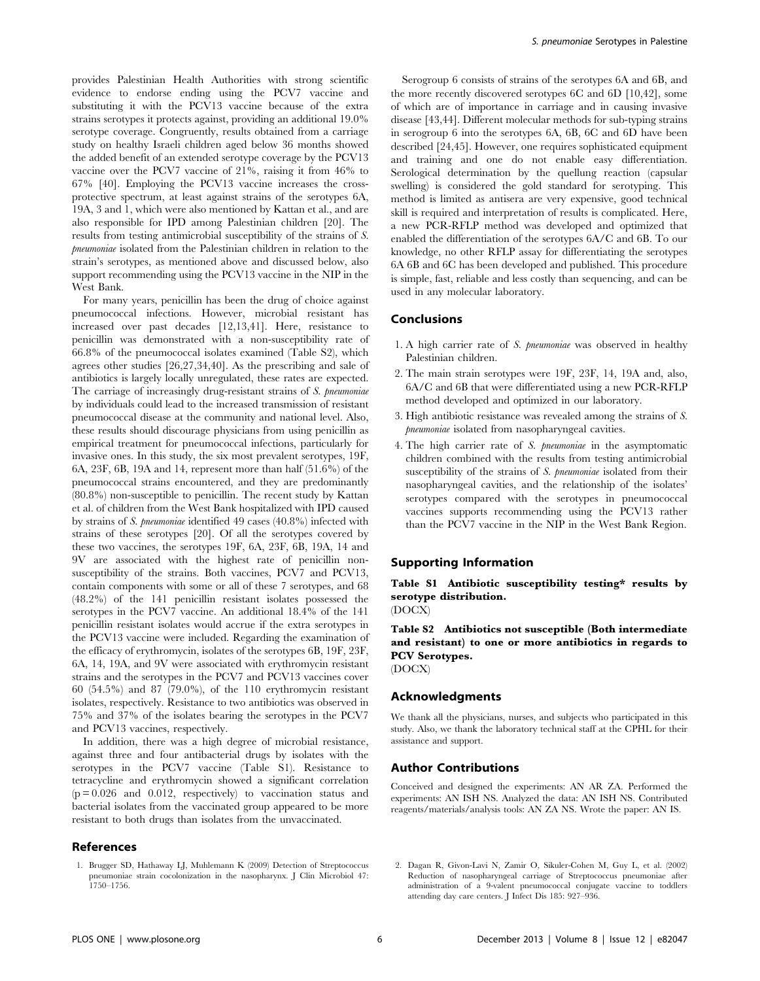provides Palestinian Health Authorities with strong scientific evidence to endorse ending using the PCV7 vaccine and substituting it with the PCV13 vaccine because of the extra strains serotypes it protects against, providing an additional 19.0% serotype coverage. Congruently, results obtained from a carriage study on healthy Israeli children aged below 36 months showed the added benefit of an extended serotype coverage by the PCV13 vaccine over the PCV7 vaccine of 21%, raising it from 46% to 67% [40]. Employing the PCV13 vaccine increases the crossprotective spectrum, at least against strains of the serotypes 6A, 19A, 3 and 1, which were also mentioned by Kattan et al., and are also responsible for IPD among Palestinian children [20]. The results from testing antimicrobial susceptibility of the strains of S. pneumoniae isolated from the Palestinian children in relation to the strain's serotypes, as mentioned above and discussed below, also support recommending using the PCV13 vaccine in the NIP in the West Bank.

For many years, penicillin has been the drug of choice against pneumococcal infections. However, microbial resistant has increased over past decades [12,13,41]. Here, resistance to penicillin was demonstrated with a non-susceptibility rate of 66.8% of the pneumococcal isolates examined (Table S2), which agrees other studies [26,27,34,40]. As the prescribing and sale of antibiotics is largely locally unregulated, these rates are expected. The carriage of increasingly drug-resistant strains of S. pneumoniae by individuals could lead to the increased transmission of resistant pneumococcal disease at the community and national level. Also, these results should discourage physicians from using penicillin as empirical treatment for pneumococcal infections, particularly for invasive ones. In this study, the six most prevalent serotypes, 19F, 6A, 23F, 6B, 19A and 14, represent more than half (51.6%) of the pneumococcal strains encountered, and they are predominantly (80.8%) non-susceptible to penicillin. The recent study by Kattan et al. of children from the West Bank hospitalized with IPD caused by strains of S. pneumoniae identified 49 cases (40.8%) infected with strains of these serotypes [20]. Of all the serotypes covered by these two vaccines, the serotypes 19F, 6A, 23F, 6B, 19A, 14 and 9V are associated with the highest rate of penicillin nonsusceptibility of the strains. Both vaccines, PCV7 and PCV13, contain components with some or all of these 7 serotypes, and 68 (48.2%) of the 141 penicillin resistant isolates possessed the serotypes in the PCV7 vaccine. An additional 18.4% of the 141 penicillin resistant isolates would accrue if the extra serotypes in the PCV13 vaccine were included. Regarding the examination of the efficacy of erythromycin, isolates of the serotypes 6B, 19F, 23F, 6A, 14, 19A, and 9V were associated with erythromycin resistant strains and the serotypes in the PCV7 and PCV13 vaccines cover 60 (54.5%) and 87 (79.0%), of the 110 erythromycin resistant isolates, respectively. Resistance to two antibiotics was observed in 75% and 37% of the isolates bearing the serotypes in the PCV7 and PCV13 vaccines, respectively.

In addition, there was a high degree of microbial resistance, against three and four antibacterial drugs by isolates with the serotypes in the PCV7 vaccine (Table S1). Resistance to tetracycline and erythromycin showed a significant correlation  $(p = 0.026$  and 0.012, respectively) to vaccination status and bacterial isolates from the vaccinated group appeared to be more resistant to both drugs than isolates from the unvaccinated.

# References

1. Brugger SD, Hathaway LJ, Muhlemann K (2009) Detection of Streptococcus pneumoniae strain cocolonization in the nasopharynx. J Clin Microbiol 47: 1750–1756.

Serogroup 6 consists of strains of the serotypes 6A and 6B, and the more recently discovered serotypes 6C and 6D [10,42], some of which are of importance in carriage and in causing invasive disease [43,44]. Different molecular methods for sub-typing strains in serogroup 6 into the serotypes 6A, 6B, 6C and 6D have been described [24,45]. However, one requires sophisticated equipment and training and one do not enable easy differentiation. Serological determination by the quellung reaction (capsular swelling) is considered the gold standard for serotyping. This method is limited as antisera are very expensive, good technical skill is required and interpretation of results is complicated. Here, a new PCR-RFLP method was developed and optimized that enabled the differentiation of the serotypes 6A/C and 6B. To our knowledge, no other RFLP assay for differentiating the serotypes 6A 6B and 6C has been developed and published. This procedure is simple, fast, reliable and less costly than sequencing, and can be used in any molecular laboratory.

#### Conclusions

- 1. A high carrier rate of S. pneumoniae was observed in healthy Palestinian children.
- 2. The main strain serotypes were 19F, 23F, 14, 19A and, also, 6A/C and 6B that were differentiated using a new PCR-RFLP method developed and optimized in our laboratory.
- 3. High antibiotic resistance was revealed among the strains of S. pneumoniae isolated from nasopharyngeal cavities.
- 4. The high carrier rate of S. pneumoniae in the asymptomatic children combined with the results from testing antimicrobial susceptibility of the strains of S. pneumoniae isolated from their nasopharyngeal cavities, and the relationship of the isolates' serotypes compared with the serotypes in pneumococcal vaccines supports recommending using the PCV13 rather than the PCV7 vaccine in the NIP in the West Bank Region.

#### Supporting Information

Table S1 Antibiotic susceptibility testing\* results by serotype distribution.

(DOCX)

Table S2 Antibiotics not susceptible (Both intermediate and resistant) to one or more antibiotics in regards to PCV Serotypes.

(DOCX)

# Acknowledgments

We thank all the physicians, nurses, and subjects who participated in this study. Also, we thank the laboratory technical staff at the CPHL for their assistance and support.

#### Author Contributions

Conceived and designed the experiments: AN AR ZA. Performed the experiments: AN ISH NS. Analyzed the data: AN ISH NS. Contributed reagents/materials/analysis tools: AN ZA NS. Wrote the paper: AN IS.

<sup>2.</sup> Dagan R, Givon-Lavi N, Zamir O, Sikuler-Cohen M, Guy L, et al. (2002) Reduction of nasopharyngeal carriage of Streptococcus pneumoniae after administration of a 9-valent pneumococcal conjugate vaccine to toddlers attending day care centers. J Infect Dis 185: 927–936.